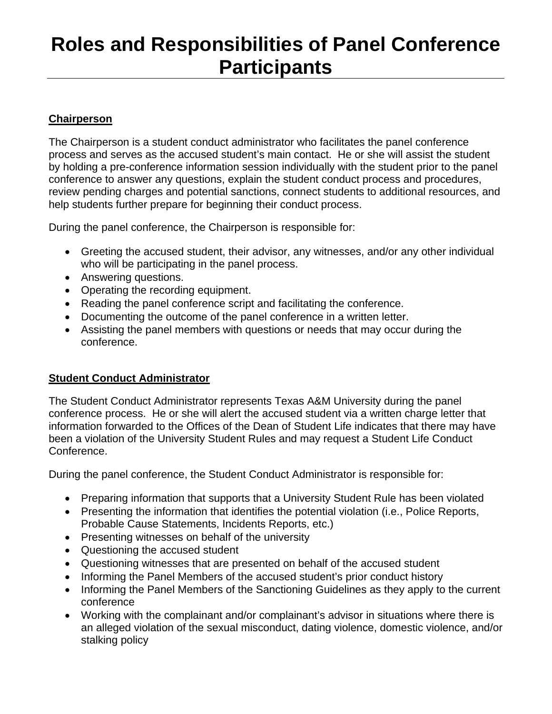# **Roles and Responsibilities of Panel Conference Participants**

## **Chairperson**

The Chairperson is a student conduct administrator who facilitates the panel conference process and serves as the accused student's main contact. He or she will assist the student by holding a pre-conference information session individually with the student prior to the panel conference to answer any questions, explain the student conduct process and procedures, review pending charges and potential sanctions, connect students to additional resources, and help students further prepare for beginning their conduct process.

During the panel conference, the Chairperson is responsible for:

- Greeting the accused student, their advisor, any witnesses, and/or any other individual who will be participating in the panel process.
- Answering questions.
- Operating the recording equipment.
- Reading the panel conference script and facilitating the conference.
- Documenting the outcome of the panel conference in a written letter.
- Assisting the panel members with questions or needs that may occur during the conference.

### **Student Conduct Administrator**

The Student Conduct Administrator represents Texas A&M University during the panel conference process. He or she will alert the accused student via a written charge letter that information forwarded to the Offices of the Dean of Student Life indicates that there may have been a violation of the University Student Rules and may request a Student Life Conduct Conference.

During the panel conference, the Student Conduct Administrator is responsible for:

- Preparing information that supports that a University Student Rule has been violated
- Presenting the information that identifies the potential violation (i.e., Police Reports, Probable Cause Statements, Incidents Reports, etc.)
- Presenting witnesses on behalf of the university
- Questioning the accused student
- Questioning witnesses that are presented on behalf of the accused student
- Informing the Panel Members of the accused student's prior conduct history
- Informing the Panel Members of the Sanctioning Guidelines as they apply to the current conference
- Working with the complainant and/or complainant's advisor in situations where there is an alleged violation of the sexual misconduct, dating violence, domestic violence, and/or stalking policy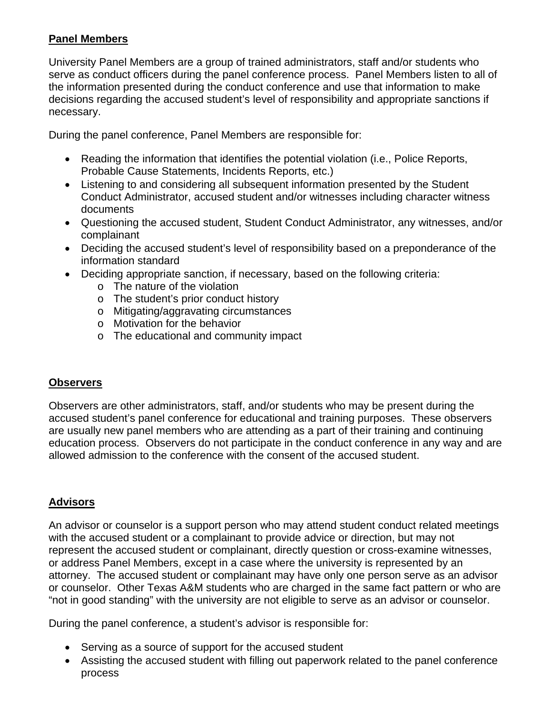## **Panel Members**

University Panel Members are a group of trained administrators, staff and/or students who serve as conduct officers during the panel conference process. Panel Members listen to all of the information presented during the conduct conference and use that information to make decisions regarding the accused student's level of responsibility and appropriate sanctions if necessary.

During the panel conference, Panel Members are responsible for:

- Reading the information that identifies the potential violation (i.e., Police Reports, Probable Cause Statements, Incidents Reports, etc.)
- Listening to and considering all subsequent information presented by the Student Conduct Administrator, accused student and/or witnesses including character witness documents
- Questioning the accused student, Student Conduct Administrator, any witnesses, and/or complainant
- Deciding the accused student's level of responsibility based on a preponderance of the information standard
- Deciding appropriate sanction, if necessary, based on the following criteria:
	- o The nature of the violation
	- o The student's prior conduct history
	- o Mitigating/aggravating circumstances
	- o Motivation for the behavior
	- o The educational and community impact

# **Observers**

Observers are other administrators, staff, and/or students who may be present during the accused student's panel conference for educational and training purposes. These observers are usually new panel members who are attending as a part of their training and continuing education process. Observers do not participate in the conduct conference in any way and are allowed admission to the conference with the consent of the accused student.

# **Advisors**

An advisor or counselor is a support person who may attend student conduct related meetings with the accused student or a complainant to provide advice or direction, but may not represent the accused student or complainant, directly question or cross-examine witnesses, or address Panel Members, except in a case where the university is represented by an attorney. The accused student or complainant may have only one person serve as an advisor or counselor. Other Texas A&M students who are charged in the same fact pattern or who are "not in good standing" with the university are not eligible to serve as an advisor or counselor.

During the panel conference, a student's advisor is responsible for:

- Serving as a source of support for the accused student
- Assisting the accused student with filling out paperwork related to the panel conference process